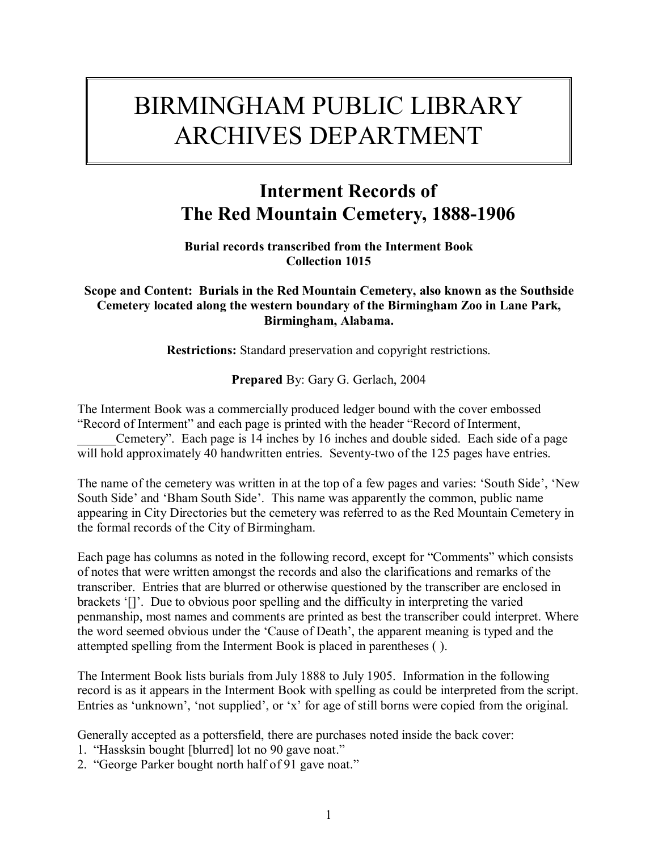# BIRMINGHAM PUBLIC LIBRARY ARCHIVES DEPARTMENT

# **Interment Records of The Red Mountain Cemetery, 1888-1906**

**Burial records transcribed from the Interment Book Collection 1015**

# **Scope and Content: Burials in the Red Mountain Cemetery, also known as the Southside Cemetery located along the western boundary of the Birmingham Zoo in Lane Park, Birmingham, Alabama.**

**Restrictions:** Standard preservation and copyright restrictions.

**Prepared** By: Gary G. Gerlach, 2004

The Interment Book was a commercially produced ledger bound with the cover embossed *E*Record of Interment" and each page is printed with the header "Record of Interment,

Cemetery". Each page is 14 inches by 16 inches and double sided. Each side of a page will hold approximately 40 handwritten entries. Seventy-two of the 125 pages have entries.

The name of the cemetery was written in at the top of a few pages and varies: 'South Side', 'New South Side<sup>3</sup> and *'Bham South Side'*. This name was apparently the common, public name appearing in City Directories but the cemetery was referred to as the Red Mountain Cemetery in the formal records of the City of Birmingham.

Each page has columns as noted in the following record, except for "Comments" which consists of notes that were written amongst the records and also the clarifications and remarks of the transcriber. Entries that are blurred or otherwise questioned by the transcriber are enclosed in brackets '[]'. Due to obvious poor spelling and the difficulty in interpreting the varied penmanship, most names and comments are printed as best the transcriber could interpret. Where the word seemed obvious under the 'Cause of Death', the apparent meaning is typed and the attempted spelling from the Interment Book is placed in parentheses ( ).

The Interment Book lists burials from July 1888 to July 1905. Information in the following record is as it appears in the Interment Book with spelling as could be interpreted from the script. Entries as 'unknown', 'not supplied', or 'x' for age of still borns were copied from the original.

Generally accepted as a pottersfield, there are purchases noted inside the back cover:

- 1. "Hassksin bought [blurred] lot no 90 gave noat."
- 2. "George Parker bought north half of 91 gave noat."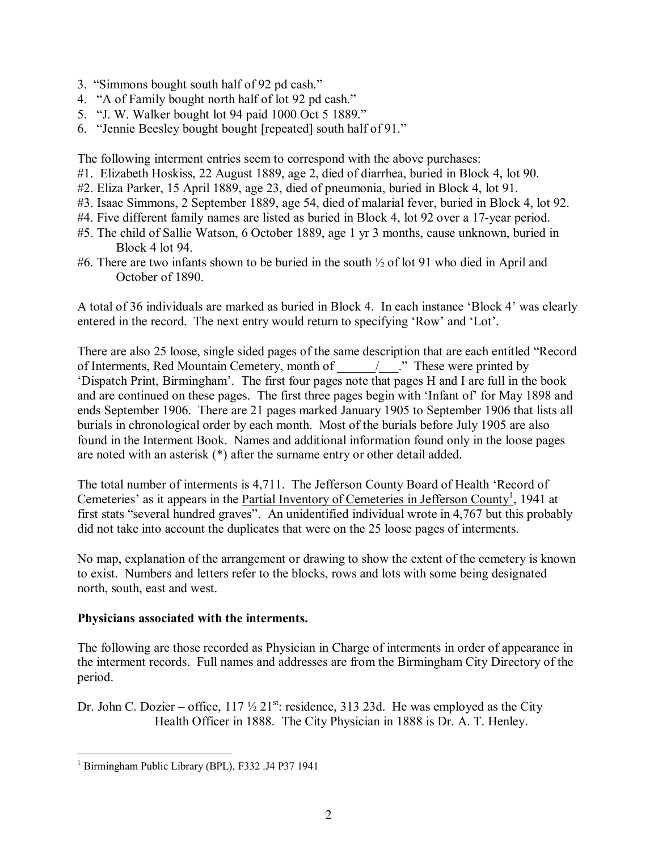- 3. "Simmons bought south half of 92 pd cash."
- 4. "A of Family bought north half of lot 92 pd cash."
- 5.  $\degree$ J. W. Walker bought lot 94 paid 1000 Oct 5 1889.<sup>?</sup>
- 6. "Jennie Beesley bought bought [repeated] south half of 91."

The following interment entries seem to correspond with the above purchases:

- #1. Elizabeth Hoskiss, 22 August 1889, age 2, died of diarrhea, buried in Block 4, lot 90.
- #2. Eliza Parker, 15 April 1889, age 23, died of pneumonia, buried in Block 4, lot 91.
- #3. Isaac Simmons, 2 September 1889, age 54, died of malarial fever, buried in Block 4, lot 92.
- #4. Five different family names are listed as buried in Block 4, lot 92 over a 17-year period.
- #5. The child of Sallie Watson, 6 October 1889, age 1 yr 3 months, cause unknown, buried in Block 4 lot 94.
- #6. There are two infants shown to be buried in the south ½ of lot 91 who died in April and October of 1890.

A total of 36 individuals are marked as buried in Block 4. In each instance 'Block 4' was clearly entered in the record. The next entry would return to specifying 'Row' and 'Lot'.

There are also 25 loose, single sided pages of the same description that are each entitled "Record of Interments, Red Mountain Cemetery, month of  $\blacksquare$   $\blacksquare$   $\blacksquare$   $\blacksquare$  These were printed by ëDispatch Print, Birminghamí. The first four pages note that pages H and I are full in the book and are continued on these pages. The first three pages begin with 'Infant of' for May 1898 and ends September 1906. There are 21 pages marked January 1905 to September 1906 that lists all burials in chronological order by each month. Most of the burials before July 1905 are also found in the Interment Book. Names and additional information found only in the loose pages are noted with an asterisk (\*) after the surname entry or other detail added.

The total number of interments is 4,711. The Jefferson County Board of Health 'Record of Cemeteries' as it appears in the **Partial Inventory of Cemeteries in Jefferson County**<sup>1</sup>, 1941 at first stats "several hundred graves". An unidentified individual wrote in  $4,767$  but this probably did not take into account the duplicates that were on the 25 loose pages of interments.

No map, explanation of the arrangement or drawing to show the extent of the cemetery is known to exist. Numbers and letters refer to the blocks, rows and lots with some being designated north, south, east and west.

## **Physicians associated with the interments.**

The following are those recorded as Physician in Charge of interments in order of appearance in the interment records. Full names and addresses are from the Birmingham City Directory of the period.

Dr. John C. Dozier – office,  $117 \frac{1}{2} 21^{st}$ : residence, 313 23d. He was employed as the City Health Officer in 1888. The City Physician in 1888 is Dr. A. T. Henley.

 1 Birmingham Public Library (BPL), F332 .J4 P37 1941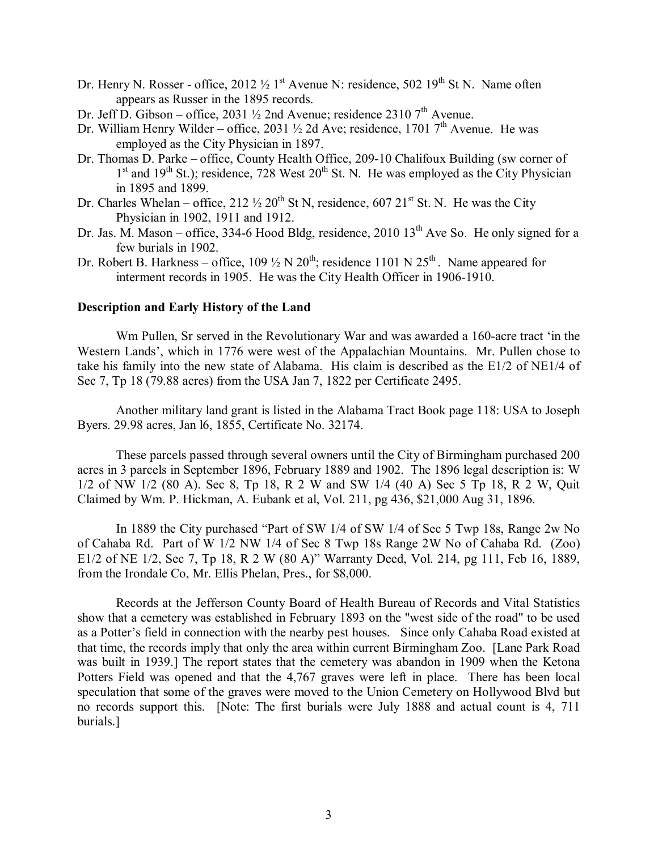- Dr. Henry N. Rosser office,  $2012\frac{1}{2}1$ <sup>st</sup> Avenue N: residence,  $502\frac{19^{th}}{15}$  St N. Name often appears as Russer in the 1895 records.
- Dr. Jeff D. Gibson office, 2031  $\frac{1}{2}$  2nd Avenue; residence 2310 7<sup>th</sup> Avenue.
- Dr. William Henry Wilder office, 2031  $\frac{1}{2}$  2d Ave; residence, 1701 7<sup>th</sup> Avenue. He was employed as the City Physician in 1897.
- Dr. Thomas D. Parke office, County Health Office, 209-10 Chalifoux Building (sw corner of  $1<sup>st</sup>$  and  $19<sup>th</sup>$  St.); residence, 728 West  $20<sup>th</sup>$  St. N. He was employed as the City Physician in 1895 and 1899.
- Dr. Charles Whelan office, 212  $\frac{1}{2}$  20<sup>th</sup> St N, residence, 607 21<sup>st</sup> St. N. He was the City Physician in 1902, 1911 and 1912.
- Dr. Jas. M. Mason office, 334-6 Hood Bldg, residence, 2010  $13<sup>th</sup>$  Ave So. He only signed for a few burials in 1902.
- Dr. Robert B. Harkness office,  $109\frac{1}{2}$  N  $20<sup>th</sup>$ ; residence 1101 N  $25<sup>th</sup>$ . Name appeared for interment records in 1905. He was the City Health Officer in 1906-1910.

### **Description and Early History of the Land**

Wm Pullen, Sr served in the Revolutionary War and was awarded a 160-acre tract 'in the Western Lands', which in 1776 were west of the Appalachian Mountains. Mr. Pullen chose to take his family into the new state of Alabama. His claim is described as the E1/2 of NE1/4 of Sec 7, Tp 18 (79.88 acres) from the USA Jan 7, 1822 per Certificate 2495.

Another military land grant is listed in the Alabama Tract Book page 118: USA to Joseph Byers. 29.98 acres, Jan l6, 1855, Certificate No. 32174.

These parcels passed through several owners until the City of Birmingham purchased 200 acres in 3 parcels in September 1896, February 1889 and 1902. The 1896 legal description is: W 1/2 of NW 1/2 (80 A). Sec 8, Tp 18, R 2 W and SW 1/4 (40 A) Sec 5 Tp 18, R 2 W, Quit Claimed by Wm. P. Hickman, A. Eubank et al, Vol. 211, pg 436, \$21,000 Aug 31, 1896.

In 1889 the City purchased "Part of SW  $1/4$  of SW  $1/4$  of Sec 5 Twp 18s, Range 2w No of Cahaba Rd. Part of W 1/2 NW 1/4 of Sec 8 Twp 18s Range 2W No of Cahaba Rd. (Zoo) E1/2 of NE 1/2, Sec 7, Tp 18, R 2 W (80 A)" Warranty Deed, Vol. 214, pg 111, Feb 16, 1889, from the Irondale Co, Mr. Ellis Phelan, Pres., for \$8,000.

Records at the Jefferson County Board of Health Bureau of Records and Vital Statistics show that a cemetery was established in February 1893 on the "west side of the road" to be used as a Potter's field in connection with the nearby pest houses. Since only Cahaba Road existed at that time, the records imply that only the area within current Birmingham Zoo. [Lane Park Road was built in 1939.] The report states that the cemetery was abandon in 1909 when the Ketona Potters Field was opened and that the 4,767 graves were left in place. There has been local speculation that some of the graves were moved to the Union Cemetery on Hollywood Blvd but no records support this. [Note: The first burials were July 1888 and actual count is 4, 711 burials.]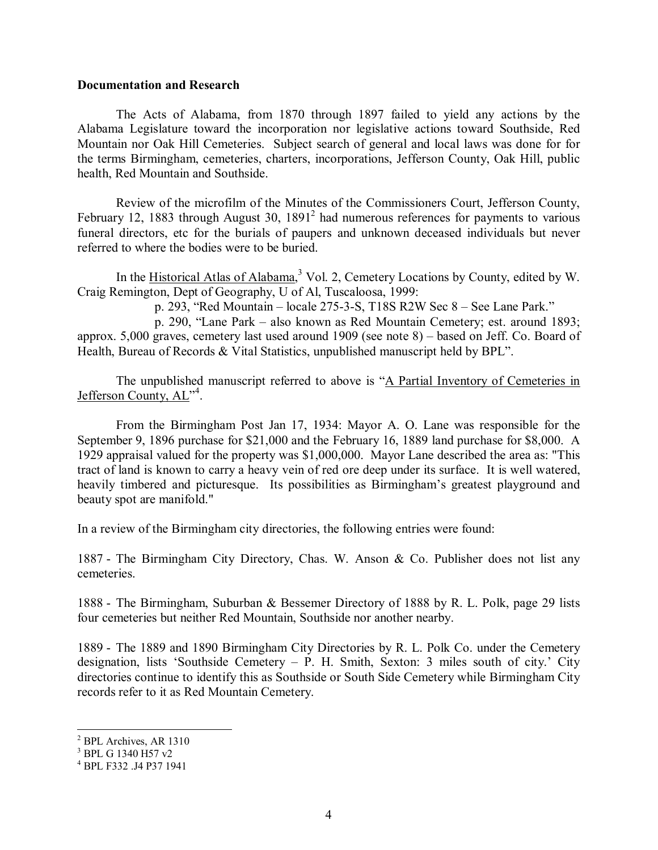#### **Documentation and Research**

 The Acts of Alabama, from 1870 through 1897 failed to yield any actions by the Alabama Legislature toward the incorporation nor legislative actions toward Southside, Red Mountain nor Oak Hill Cemeteries. Subject search of general and local laws was done for for the terms Birmingham, cemeteries, charters, incorporations, Jefferson County, Oak Hill, public health, Red Mountain and Southside.

 Review of the microfilm of the Minutes of the Commissioners Court, Jefferson County, February 12, 1883 through August 30,  $1891<sup>2</sup>$  had numerous references for payments to various funeral directors, etc for the burials of paupers and unknown deceased individuals but never referred to where the bodies were to be buried.

In the Historical Atlas of Alabama,<sup>3</sup> Vol. 2, Cemetery Locations by County, edited by W. Craig Remington, Dept of Geography, U of Al, Tuscaloosa, 1999:

p. 293, "Red Mountain – locale 275-3-S, T18S R2W Sec  $8$  – See Lane Park."

p. 290, "Lane Park – also known as Red Mountain Cemetery; est. around 1893; approx.  $5,000$  graves, cemetery last used around 1909 (see note 8) – based on Jeff. Co. Board of Health, Bureau of Records & Vital Statistics, unpublished manuscript held by BPL".

The unpublished manuscript referred to above is "A Partial Inventory of Cemeteries in Jefferson County, AL<sup>74</sup>.

From the Birmingham Post Jan 17, 1934: Mayor A. O. Lane was responsible for the September 9, 1896 purchase for \$21,000 and the February 16, 1889 land purchase for \$8,000. A 1929 appraisal valued for the property was \$1,000,000. Mayor Lane described the area as: "This tract of land is known to carry a heavy vein of red ore deep under its surface. It is well watered, heavily timbered and picturesque. Its possibilities as Birmingham's greatest playground and beauty spot are manifold."

In a review of the Birmingham city directories, the following entries were found:

1887 - The Birmingham City Directory, Chas. W. Anson & Co. Publisher does not list any cemeteries.

1888 - The Birmingham, Suburban & Bessemer Directory of 1888 by R. L. Polk, page 29 lists four cemeteries but neither Red Mountain, Southside nor another nearby.

1889 - The 1889 and 1890 Birmingham City Directories by R. L. Polk Co. under the Cemetery designation, lists 'Southside Cemetery  $-$  P. H. Smith, Sexton: 3 miles south of city.' City directories continue to identify this as Southside or South Side Cemetery while Birmingham City records refer to it as Red Mountain Cemetery.

 $\overline{a}$ 

 $2$  BPL Archives, AR 1310

<sup>3</sup> BPL G 1340 H57 v2

<sup>4</sup> BPL F332 .J4 P37 1941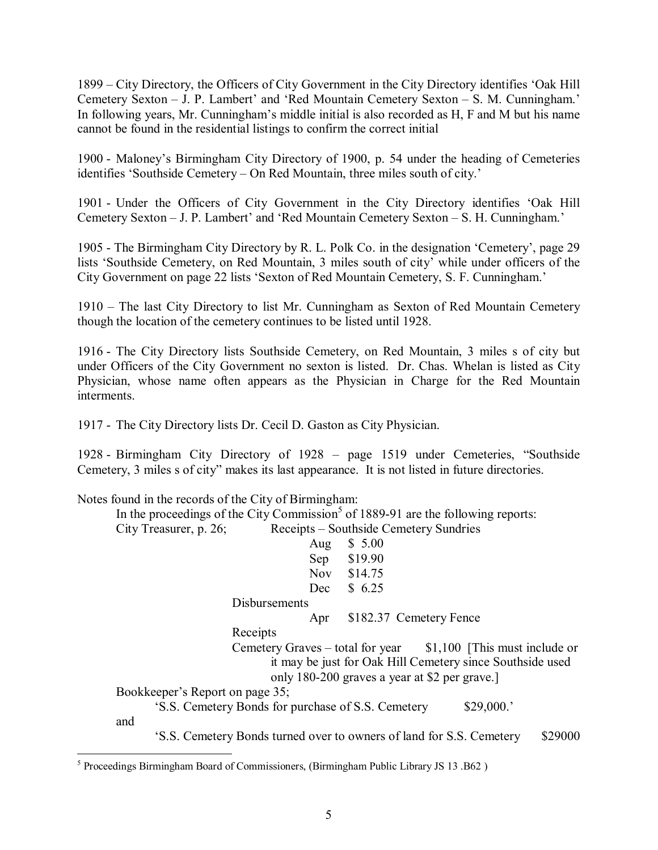1899 – City Directory, the Officers of City Government in the City Directory identifies 'Oak Hill Cemetery Sexton – J. P. Lambert' and 'Red Mountain Cemetery Sexton – S. M. Cunningham.' In following years, Mr. Cunningham's middle initial is also recorded as H, F and M but his name cannot be found in the residential listings to confirm the correct initial

1900 - Maloneyís Birmingham City Directory of 1900, p. 54 under the heading of Cemeteries identifies 'Southside Cemetery – On Red Mountain, three miles south of city.'

1901 - Under the Officers of City Government in the City Directory identifies ëOak Hill Cemetery Sexton – J. P. Lambert' and 'Red Mountain Cemetery Sexton – S. H. Cunningham.'

1905 - The Birmingham City Directory by R. L. Polk Co. in the designation 'Cemetery', page 29 lists 'Southside Cemetery, on Red Mountain, 3 miles south of city' while under officers of the City Government on page 22 lists 'Sexton of Red Mountain Cemetery, S. F. Cunningham.'

1910 – The last City Directory to list Mr. Cunningham as Sexton of Red Mountain Cemetery though the location of the cemetery continues to be listed until 1928.

1916 - The City Directory lists Southside Cemetery, on Red Mountain, 3 miles s of city but under Officers of the City Government no sexton is listed. Dr. Chas. Whelan is listed as City Physician, whose name often appears as the Physician in Charge for the Red Mountain interments.

1917 - The City Directory lists Dr. Cecil D. Gaston as City Physician.

1928 - Birmingham City Directory of 1928 – page 1519 under Cemeteries, "Southside Cemetery, 3 miles s of city" makes its last appearance. It is not listed in future directories.

Notes found in the records of the City of Birmingham:

In the proceedings of the City Commission<sup>5</sup> of 1889-91 are the following reports: City Treasurer, p. 26; Receipts – Southside Cemetery Sundries

|                                                    | Aug        | \$5.00                                                                                                                                                                        |
|----------------------------------------------------|------------|-------------------------------------------------------------------------------------------------------------------------------------------------------------------------------|
|                                                    | Sep        | \$19.90                                                                                                                                                                       |
|                                                    | <b>Nov</b> | \$14.75                                                                                                                                                                       |
|                                                    | Dec        | \$6.25                                                                                                                                                                        |
| Disbursements                                      |            |                                                                                                                                                                               |
|                                                    | Apr        | \$182.37 Cemetery Fence                                                                                                                                                       |
| Receipts                                           |            |                                                                                                                                                                               |
|                                                    |            | Cemetery Graves – total for year $$1,100$ [This must include or<br>it may be just for Oak Hill Cemetery since Southside used<br>only 180-200 graves a year at \$2 per grave.] |
| Bookkeeper's Report on page 35;                    |            |                                                                                                                                                                               |
| 'S.S. Cemetery Bonds for purchase of S.S. Cemetery |            | \$29,000.                                                                                                                                                                     |
| and                                                |            |                                                                                                                                                                               |
|                                                    |            | \$29000<br>'S.S. Cemetery Bonds turned over to owners of land for S.S. Cemetery                                                                                               |

and

ëS.S. Cemetery Bonds turned over to owners of land for S.S. Cemetery \$29000

 5 Proceedings Birmingham Board of Commissioners, (Birmingham Public Library JS 13 .B62 )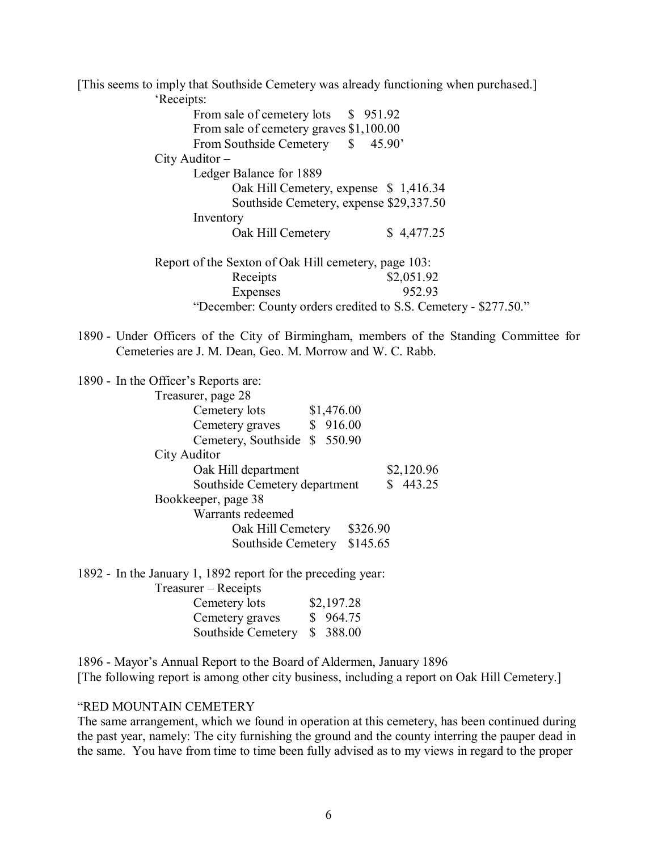[This seems to imply that Southside Cemetery was already functioning when purchased.] 'Receints'

|                   | 45.90'<br>$\mathbb{S}$                                                                |                                                                                                                                                                                                                                                                                               |
|-------------------|---------------------------------------------------------------------------------------|-----------------------------------------------------------------------------------------------------------------------------------------------------------------------------------------------------------------------------------------------------------------------------------------------|
|                   |                                                                                       |                                                                                                                                                                                                                                                                                               |
|                   |                                                                                       |                                                                                                                                                                                                                                                                                               |
|                   |                                                                                       |                                                                                                                                                                                                                                                                                               |
|                   |                                                                                       |                                                                                                                                                                                                                                                                                               |
|                   |                                                                                       |                                                                                                                                                                                                                                                                                               |
| Oak Hill Cemetery | \$4,477.25                                                                            |                                                                                                                                                                                                                                                                                               |
|                   |                                                                                       |                                                                                                                                                                                                                                                                                               |
| Receipts          | \$2,051.92                                                                            |                                                                                                                                                                                                                                                                                               |
| Expenses          | 952.93                                                                                |                                                                                                                                                                                                                                                                                               |
|                   |                                                                                       |                                                                                                                                                                                                                                                                                               |
|                   | From Southside Cemetery<br>$City$ Auditor $-$<br>Ledger Balance for 1889<br>Inventory | From sale of cemetery lots \$951.92<br>From sale of cemetery graves \$1,100.00<br>Oak Hill Cemetery, expense \$1,416.34<br>Southside Cemetery, expense \$29,337.50<br>Report of the Sexton of Oak Hill cemetery, page 103:<br>"December: County orders credited to S.S. Cemetery - \$277.50." |

1890 - Under Officers of the City of Birmingham, members of the Standing Committee for Cemeteries are J. M. Dean, Geo. M. Morrow and W. C. Rabb.

1890 - In the Officer's Reports are:

| Treasurer, page 28            |            |
|-------------------------------|------------|
| \$1,476.00<br>Cemetery lots   |            |
| 916.00<br>Cemetery graves     |            |
| Cemetery, Southside \$550.90  |            |
| City Auditor                  |            |
| Oak Hill department           | \$2,120.96 |
| Southside Cemetery department | \$443.25   |
| Bookkeeper, page 38           |            |
| Warrants redeemed             |            |
| Oak Hill Cemetery             | \$326.90   |
| Southside Cemetery            | \$145.65   |

1892 - In the January 1, 1892 report for the preceding year:

Treasurer – Receipts

| Cemetery lots               | \$2,197.28 |
|-----------------------------|------------|
| Cemetery graves             | \$964.75   |
| Southside Cemetery \$388.00 |            |

1896 - Mayor's Annual Report to the Board of Aldermen, January 1896 [The following report is among other city business, including a report on Oak Hill Cemetery.]

### **"RED MOUNTAIN CEMETERY"**

The same arrangement, which we found in operation at this cemetery, has been continued during the past year, namely: The city furnishing the ground and the county interring the pauper dead in the same. You have from time to time been fully advised as to my views in regard to the proper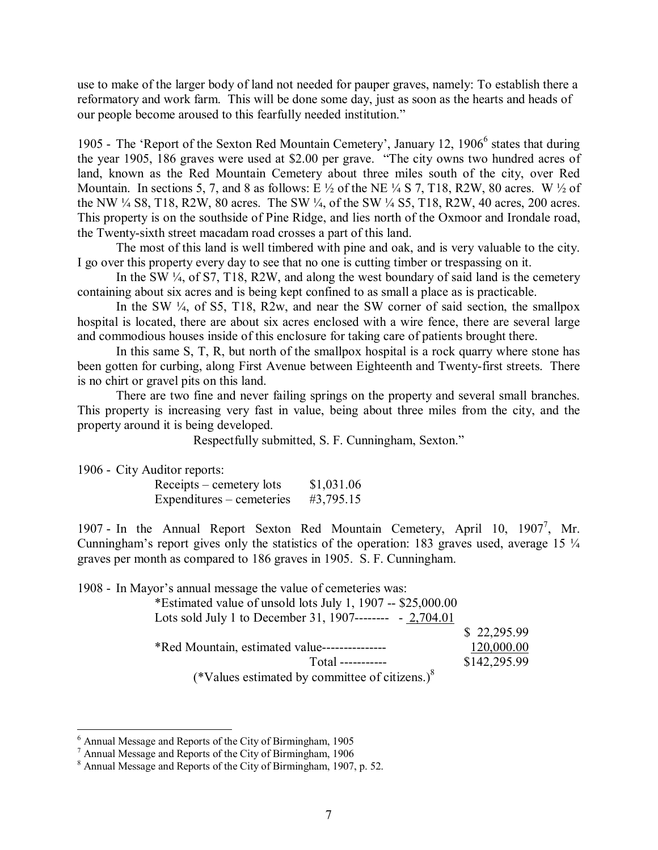use to make of the larger body of land not needed for pauper graves, namely: To establish there a reformatory and work farm. This will be done some day, just as soon as the hearts and heads of our people become aroused to this fearfully needed institution.<sup>"</sup>

1905 - The 'Report of the Sexton Red Mountain Cemetery', January 12, 1906<sup>6</sup> states that during the year 1905, 186 graves were used at \$2.00 per grave. "The city owns two hundred acres of land, known as the Red Mountain Cemetery about three miles south of the city, over Red Mountain. In sections 5, 7, and 8 as follows: E  $\frac{1}{2}$  of the NE  $\frac{1}{4}$  S 7, T18, R2W, 80 acres. W  $\frac{1}{2}$  of the NW  $\frac{1}{4}$  S8, T18, R2W, 80 acres. The SW  $\frac{1}{4}$ , of the SW  $\frac{1}{4}$  S5, T18, R2W, 40 acres, 200 acres. This property is on the southside of Pine Ridge, and lies north of the Oxmoor and Irondale road, the Twenty-sixth street macadam road crosses a part of this land.

 The most of this land is well timbered with pine and oak, and is very valuable to the city. I go over this property every day to see that no one is cutting timber or trespassing on it.

In the SW  $\frac{1}{4}$ , of S7, T18, R2W, and along the west boundary of said land is the cemetery containing about six acres and is being kept confined to as small a place as is practicable.

In the SW  $\frac{1}{4}$ , of S5, T18, R2w, and near the SW corner of said section, the smallpox hospital is located, there are about six acres enclosed with a wire fence, there are several large and commodious houses inside of this enclosure for taking care of patients brought there.

 In this same S, T, R, but north of the smallpox hospital is a rock quarry where stone has been gotten for curbing, along First Avenue between Eighteenth and Twenty-first streets. There is no chirt or gravel pits on this land.

 There are two fine and never failing springs on the property and several small branches. This property is increasing very fast in value, being about three miles from the city, and the property around it is being developed.

Respectfully submitted, S. F. Cunningham, Sexton.<sup>7</sup>

1906 - City Auditor reports:

 $\overline{a}$ 

| Receipts – cemetery lots  | \$1,031.06 |
|---------------------------|------------|
| Expenditures – cemeteries | #3,795.15  |

1907 - In the Annual Report Sexton Red Mountain Cemetery, April 10, 1907<sup>7</sup>, Mr. Cunningham's report gives only the statistics of the operation: 183 graves used, average 15  $\frac{1}{4}$ graves per month as compared to 186 graves in 1905. S. F. Cunningham.

1908 - In Mayor's annual message the value of cemeteries was:

| *Estimated value of unsold lots July 1, 1907 -- \$25,000.00 |              |
|-------------------------------------------------------------|--------------|
| Lots sold July 1 to December 31, 1907-------- $-2,704.01$   |              |
|                                                             | \$22,295.99  |
| *Red Mountain, estimated value---------------               | 120,000.00   |
|                                                             | \$142,295.99 |
| (*Values estimated by committee of citizens.) $8$           |              |

<sup>6</sup> Annual Message and Reports of the City of Birmingham, 1905

<sup>&</sup>lt;sup>7</sup> Annual Message and Reports of the City of Birmingham, 1906<br><sup>8</sup> Annual Message and Reports of the City of Birmingham, 1907, p. 52.